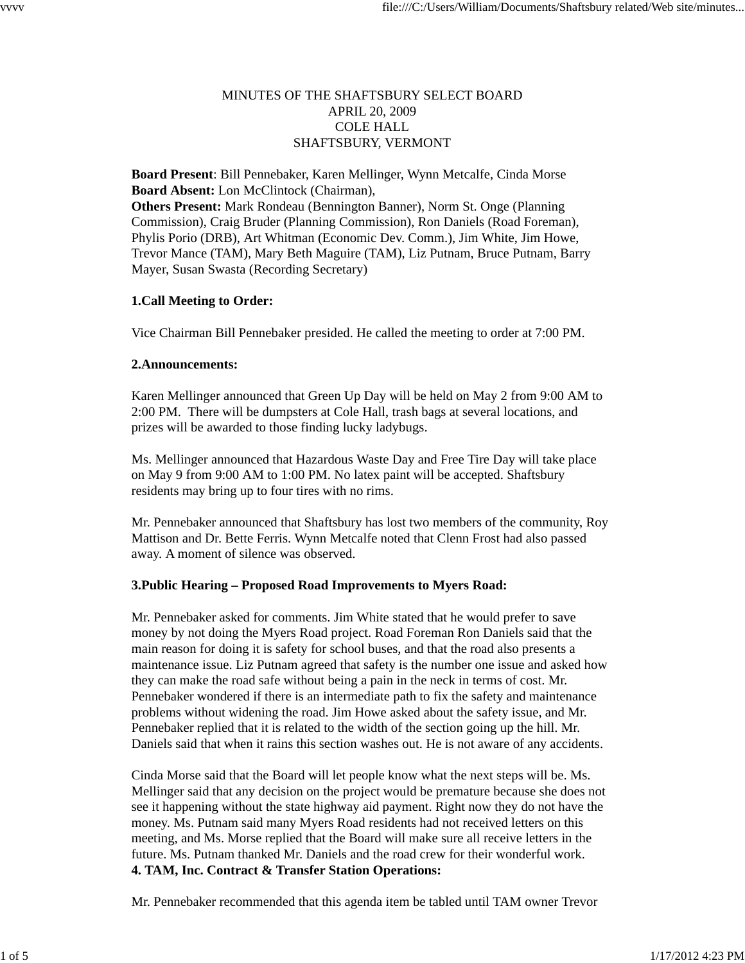## MINUTES OF THE SHAFTSBURY SELECT BOARD APRIL 20, 2009 COLE HALL SHAFTSBURY, VERMONT

**Board Present**: Bill Pennebaker, Karen Mellinger, Wynn Metcalfe, Cinda Morse **Board Absent:** Lon McClintock (Chairman), **Others Present:** Mark Rondeau (Bennington Banner), Norm St. Onge (Planning Commission), Craig Bruder (Planning Commission), Ron Daniels (Road Foreman), Phylis Porio (DRB), Art Whitman (Economic Dev. Comm.), Jim White, Jim Howe, Trevor Mance (TAM), Mary Beth Maguire (TAM), Liz Putnam, Bruce Putnam, Barry Mayer, Susan Swasta (Recording Secretary)

## **1.Call Meeting to Order:**

Vice Chairman Bill Pennebaker presided. He called the meeting to order at 7:00 PM.

## **2.Announcements:**

Karen Mellinger announced that Green Up Day will be held on May 2 from 9:00 AM to 2:00 PM. There will be dumpsters at Cole Hall, trash bags at several locations, and prizes will be awarded to those finding lucky ladybugs.

Ms. Mellinger announced that Hazardous Waste Day and Free Tire Day will take place on May 9 from 9:00 AM to 1:00 PM. No latex paint will be accepted. Shaftsbury residents may bring up to four tires with no rims.

Mr. Pennebaker announced that Shaftsbury has lost two members of the community, Roy Mattison and Dr. Bette Ferris. Wynn Metcalfe noted that Clenn Frost had also passed away. A moment of silence was observed.

# **3.Public Hearing – Proposed Road Improvements to Myers Road:**

Mr. Pennebaker asked for comments. Jim White stated that he would prefer to save money by not doing the Myers Road project. Road Foreman Ron Daniels said that the main reason for doing it is safety for school buses, and that the road also presents a maintenance issue. Liz Putnam agreed that safety is the number one issue and asked how they can make the road safe without being a pain in the neck in terms of cost. Mr. Pennebaker wondered if there is an intermediate path to fix the safety and maintenance problems without widening the road. Jim Howe asked about the safety issue, and Mr. Pennebaker replied that it is related to the width of the section going up the hill. Mr. Daniels said that when it rains this section washes out. He is not aware of any accidents.

Cinda Morse said that the Board will let people know what the next steps will be. Ms. Mellinger said that any decision on the project would be premature because she does not see it happening without the state highway aid payment. Right now they do not have the money. Ms. Putnam said many Myers Road residents had not received letters on this meeting, and Ms. Morse replied that the Board will make sure all receive letters in the future. Ms. Putnam thanked Mr. Daniels and the road crew for their wonderful work. **4. TAM, Inc. Contract & Transfer Station Operations:**

Mr. Pennebaker recommended that this agenda item be tabled until TAM owner Trevor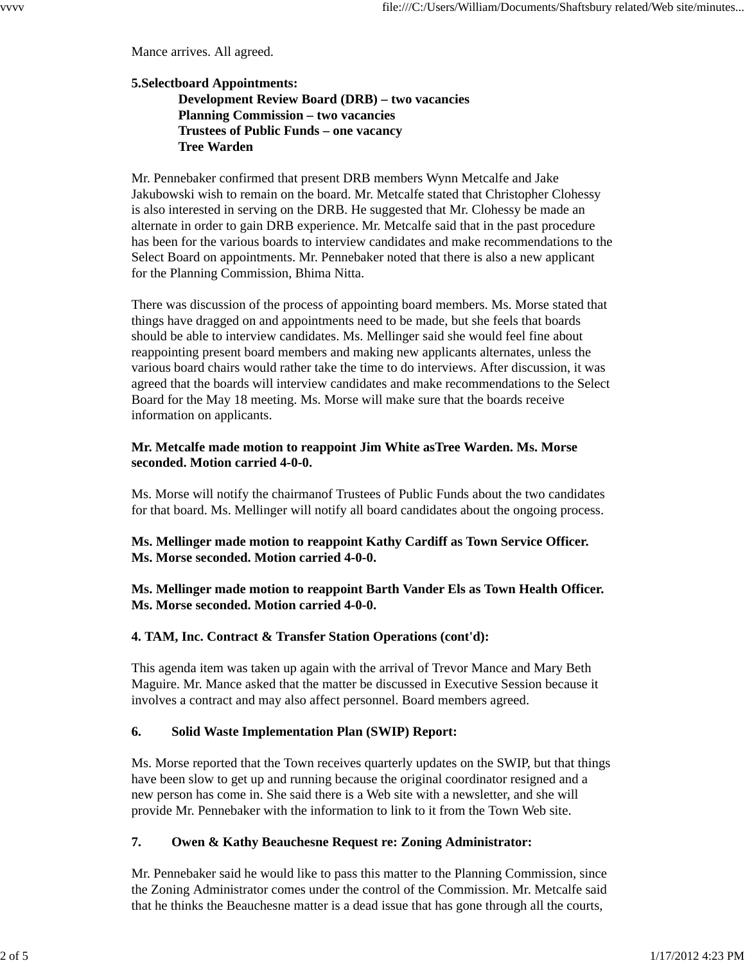Mance arrives. All agreed.

## **5.Selectboard Appointments: Development Review Board (DRB) – two vacancies Planning Commission – two vacancies Trustees of Public Funds – one vacancy Tree Warden**

Mr. Pennebaker confirmed that present DRB members Wynn Metcalfe and Jake Jakubowski wish to remain on the board. Mr. Metcalfe stated that Christopher Clohessy is also interested in serving on the DRB. He suggested that Mr. Clohessy be made an alternate in order to gain DRB experience. Mr. Metcalfe said that in the past procedure has been for the various boards to interview candidates and make recommendations to the Select Board on appointments. Mr. Pennebaker noted that there is also a new applicant for the Planning Commission, Bhima Nitta.

There was discussion of the process of appointing board members. Ms. Morse stated that things have dragged on and appointments need to be made, but she feels that boards should be able to interview candidates. Ms. Mellinger said she would feel fine about reappointing present board members and making new applicants alternates, unless the various board chairs would rather take the time to do interviews. After discussion, it was agreed that the boards will interview candidates and make recommendations to the Select Board for the May 18 meeting. Ms. Morse will make sure that the boards receive information on applicants.

## **Mr. Metcalfe made motion to reappoint Jim White asTree Warden. Ms. Morse seconded. Motion carried 4-0-0.**

Ms. Morse will notify the chairmanof Trustees of Public Funds about the two candidates for that board. Ms. Mellinger will notify all board candidates about the ongoing process.

**Ms. Mellinger made motion to reappoint Kathy Cardiff as Town Service Officer. Ms. Morse seconded. Motion carried 4-0-0.**

**Ms. Mellinger made motion to reappoint Barth Vander Els as Town Health Officer. Ms. Morse seconded. Motion carried 4-0-0.**

## **4. TAM, Inc. Contract & Transfer Station Operations (cont'd):**

This agenda item was taken up again with the arrival of Trevor Mance and Mary Beth Maguire. Mr. Mance asked that the matter be discussed in Executive Session because it involves a contract and may also affect personnel. Board members agreed.

## **6. Solid Waste Implementation Plan (SWIP) Report:**

Ms. Morse reported that the Town receives quarterly updates on the SWIP, but that things have been slow to get up and running because the original coordinator resigned and a new person has come in. She said there is a Web site with a newsletter, and she will provide Mr. Pennebaker with the information to link to it from the Town Web site.

## **7. Owen & Kathy Beauchesne Request re: Zoning Administrator:**

Mr. Pennebaker said he would like to pass this matter to the Planning Commission, since the Zoning Administrator comes under the control of the Commission. Mr. Metcalfe said that he thinks the Beauchesne matter is a dead issue that has gone through all the courts,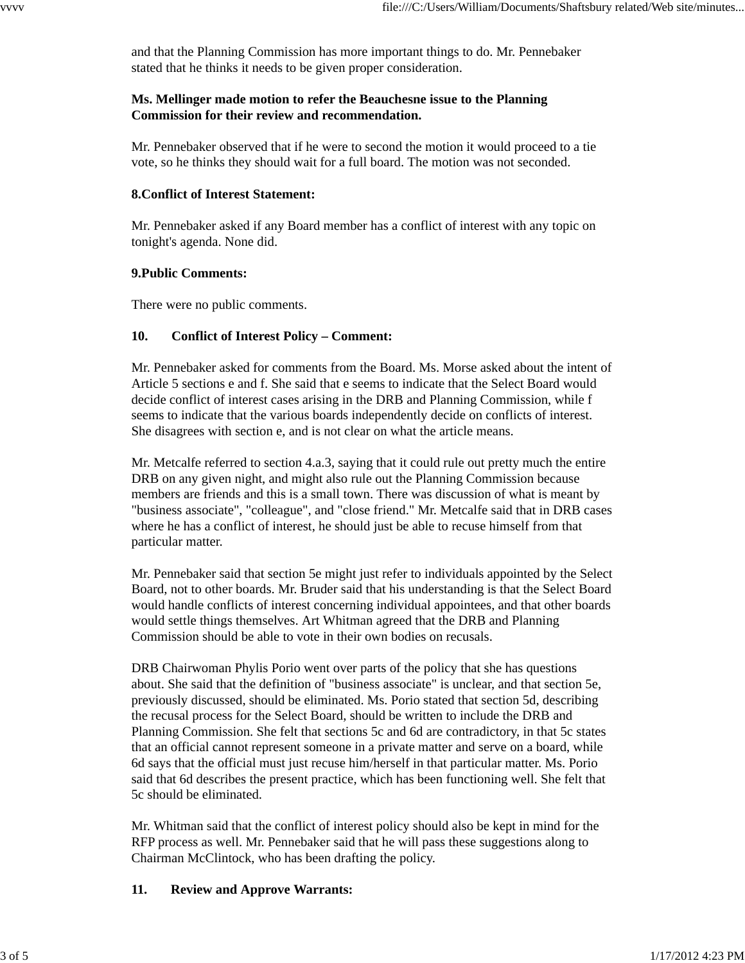and that the Planning Commission has more important things to do. Mr. Pennebaker stated that he thinks it needs to be given proper consideration.

## **Ms. Mellinger made motion to refer the Beauchesne issue to the Planning Commission for their review and recommendation.**

Mr. Pennebaker observed that if he were to second the motion it would proceed to a tie vote, so he thinks they should wait for a full board. The motion was not seconded.

## **8.Conflict of Interest Statement:**

Mr. Pennebaker asked if any Board member has a conflict of interest with any topic on tonight's agenda. None did.

## **9.Public Comments:**

There were no public comments.

## **10. Conflict of Interest Policy – Comment:**

Mr. Pennebaker asked for comments from the Board. Ms. Morse asked about the intent of Article 5 sections e and f. She said that e seems to indicate that the Select Board would decide conflict of interest cases arising in the DRB and Planning Commission, while f seems to indicate that the various boards independently decide on conflicts of interest. She disagrees with section e, and is not clear on what the article means.

Mr. Metcalfe referred to section 4.a.3, saying that it could rule out pretty much the entire DRB on any given night, and might also rule out the Planning Commission because members are friends and this is a small town. There was discussion of what is meant by "business associate", "colleague", and "close friend." Mr. Metcalfe said that in DRB cases where he has a conflict of interest, he should just be able to recuse himself from that particular matter.

Mr. Pennebaker said that section 5e might just refer to individuals appointed by the Select Board, not to other boards. Mr. Bruder said that his understanding is that the Select Board would handle conflicts of interest concerning individual appointees, and that other boards would settle things themselves. Art Whitman agreed that the DRB and Planning Commission should be able to vote in their own bodies on recusals.

DRB Chairwoman Phylis Porio went over parts of the policy that she has questions about. She said that the definition of "business associate" is unclear, and that section 5e, previously discussed, should be eliminated. Ms. Porio stated that section 5d, describing the recusal process for the Select Board, should be written to include the DRB and Planning Commission. She felt that sections 5c and 6d are contradictory, in that 5c states that an official cannot represent someone in a private matter and serve on a board, while 6d says that the official must just recuse him/herself in that particular matter. Ms. Porio said that 6d describes the present practice, which has been functioning well. She felt that 5c should be eliminated.

Mr. Whitman said that the conflict of interest policy should also be kept in mind for the RFP process as well. Mr. Pennebaker said that he will pass these suggestions along to Chairman McClintock, who has been drafting the policy.

# **11. Review and Approve Warrants:**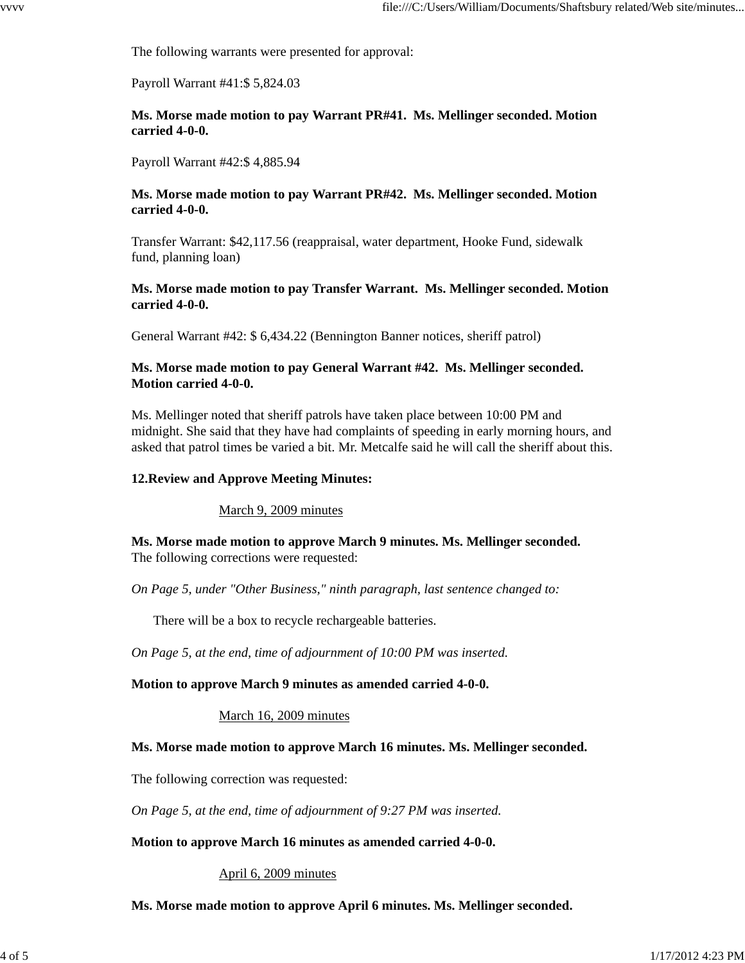The following warrants were presented for approval:

Payroll Warrant #41:\$ 5,824.03

**Ms. Morse made motion to pay Warrant PR#41. Ms. Mellinger seconded. Motion carried 4-0-0.**

Payroll Warrant #42:\$ 4,885.94

## **Ms. Morse made motion to pay Warrant PR#42. Ms. Mellinger seconded. Motion carried 4-0-0.**

Transfer Warrant: \$42,117.56 (reappraisal, water department, Hooke Fund, sidewalk fund, planning loan)

## **Ms. Morse made motion to pay Transfer Warrant. Ms. Mellinger seconded. Motion carried 4-0-0.**

General Warrant #42: \$ 6,434.22 (Bennington Banner notices, sheriff patrol)

## **Ms. Morse made motion to pay General Warrant #42. Ms. Mellinger seconded. Motion carried 4-0-0.**

Ms. Mellinger noted that sheriff patrols have taken place between 10:00 PM and midnight. She said that they have had complaints of speeding in early morning hours, and asked that patrol times be varied a bit. Mr. Metcalfe said he will call the sheriff about this.

## **12.Review and Approve Meeting Minutes:**

March 9, 2009 minutes

**Ms. Morse made motion to approve March 9 minutes. Ms. Mellinger seconded.** The following corrections were requested:

*On Page 5, under "Other Business," ninth paragraph, last sentence changed to:*

There will be a box to recycle rechargeable batteries.

*On Page 5, at the end, time of adjournment of 10:00 PM was inserted.*

#### **Motion to approve March 9 minutes as amended carried 4-0-0.**

March 16, 2009 minutes

## **Ms. Morse made motion to approve March 16 minutes. Ms. Mellinger seconded.**

The following correction was requested:

*On Page 5, at the end, time of adjournment of 9:27 PM was inserted.*

#### **Motion to approve March 16 minutes as amended carried 4-0-0.**

#### April 6, 2009 minutes

## **Ms. Morse made motion to approve April 6 minutes. Ms. Mellinger seconded.**